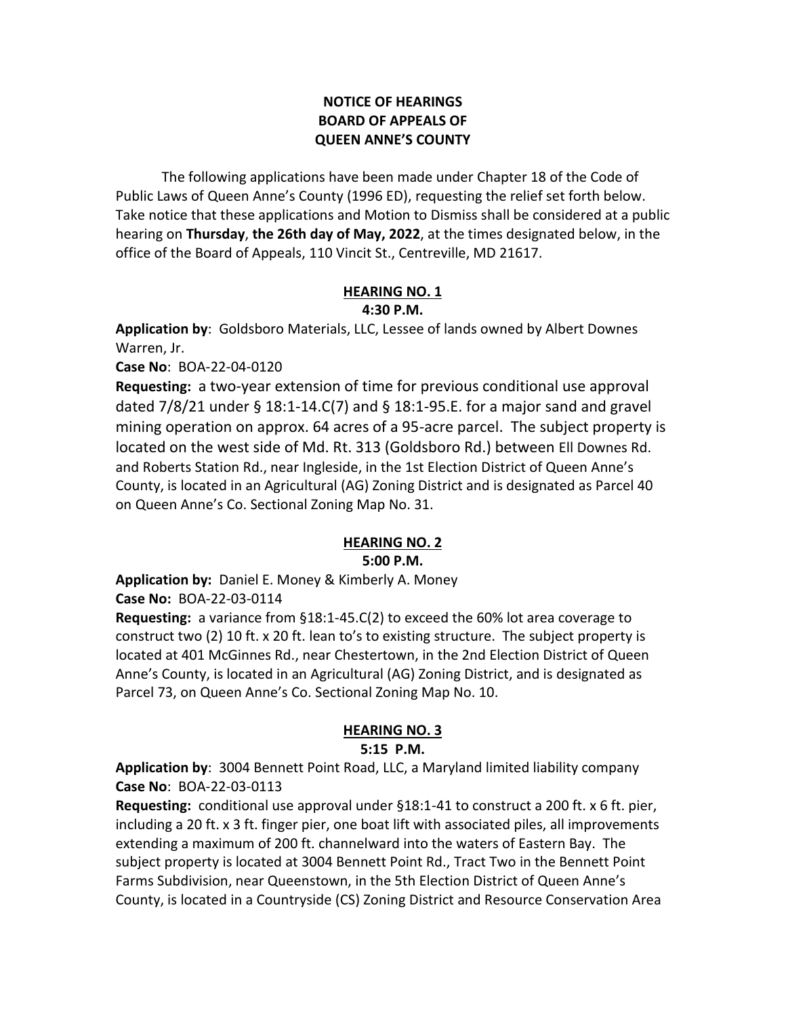## **NOTICE OF HEARINGS BOARD OF APPEALS OF QUEEN ANNE'S COUNTY**

The following applications have been made under Chapter 18 of the Code of Public Laws of Queen Anne's County (1996 ED), requesting the relief set forth below. Take notice that these applications and Motion to Dismiss shall be considered at a public hearing on **Thursday**, **the 26th day of May, 2022**, at the times designated below, in the office of the Board of Appeals, 110 Vincit St., Centreville, MD 21617.

#### **HEARING NO. 1 4:30 P.M.**

**Application by**: Goldsboro Materials, LLC, Lessee of lands owned by Albert Downes Warren, Jr.

**Case No**: BOA-22-04-0120

**Requesting:** a two-year extension of time for previous conditional use approval dated 7/8/21 under § 18:1-14.C(7) and § 18:1-95.E. for a major sand and gravel mining operation on approx. 64 acres of a 95-acre parcel. The subject property is located on the west side of Md. Rt. 313 (Goldsboro Rd.) between Ell Downes Rd. and Roberts Station Rd., near Ingleside, in the 1st Election District of Queen Anne's County, is located in an Agricultural (AG) Zoning District and is designated as Parcel 40 on Queen Anne's Co. Sectional Zoning Map No. 31.

### **HEARING NO. 2**

### **5:00 P.M.**

**Application by:** Daniel E. Money & Kimberly A. Money

**Case No:** BOA-22-03-0114

**Requesting:** a variance from §18:1-45.C(2) to exceed the 60% lot area coverage to construct two (2) 10 ft. x 20 ft. lean to's to existing structure. The subject property is located at 401 McGinnes Rd., near Chestertown, in the 2nd Election District of Queen Anne's County, is located in an Agricultural (AG) Zoning District, and is designated as Parcel 73, on Queen Anne's Co. Sectional Zoning Map No. 10.

# **HEARING NO. 3**

## **5:15 P.M.**

**Application by**: 3004 Bennett Point Road, LLC, a Maryland limited liability company **Case No**: BOA-22-03-0113

**Requesting:** conditional use approval under §18:1-41 to construct a 200 ft. x 6 ft. pier, including a 20 ft. x 3 ft. finger pier, one boat lift with associated piles, all improvements extending a maximum of 200 ft. channelward into the waters of Eastern Bay. The subject property is located at 3004 Bennett Point Rd., Tract Two in the Bennett Point Farms Subdivision, near Queenstown, in the 5th Election District of Queen Anne's County, is located in a Countryside (CS) Zoning District and Resource Conservation Area